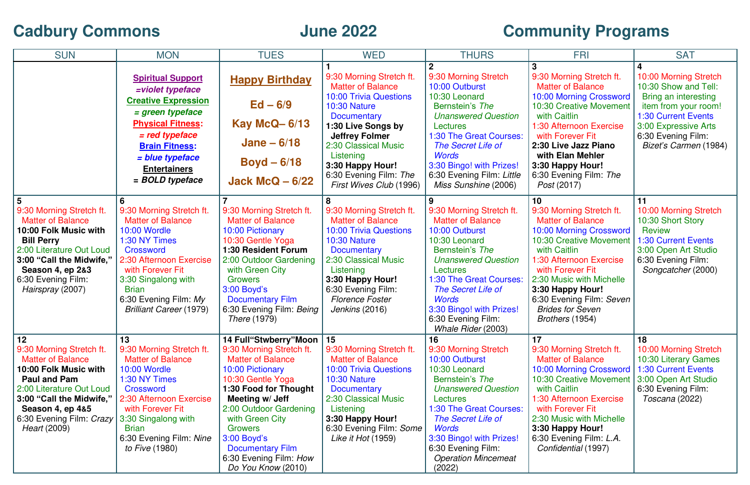## **Cadbury Commons**

## **June 2022 Community Programs**

| <b>SUN</b>                                                                                                                                                                                                                                           | <b>MON</b>                                                                                                                                                                                                                                                | <b>TUES</b>                                                                                                                                                                                                                                                                                                                      | <b>WED</b>                                                                                                                                                                                                                                                                               | <b>THURS</b>                                                                                                                                                                                                                                                                                              | <b>FRI</b>                                                                                                                                                                                                                                                                                                | <b>SAT</b>                                                                                                                                                                                         |
|------------------------------------------------------------------------------------------------------------------------------------------------------------------------------------------------------------------------------------------------------|-----------------------------------------------------------------------------------------------------------------------------------------------------------------------------------------------------------------------------------------------------------|----------------------------------------------------------------------------------------------------------------------------------------------------------------------------------------------------------------------------------------------------------------------------------------------------------------------------------|------------------------------------------------------------------------------------------------------------------------------------------------------------------------------------------------------------------------------------------------------------------------------------------|-----------------------------------------------------------------------------------------------------------------------------------------------------------------------------------------------------------------------------------------------------------------------------------------------------------|-----------------------------------------------------------------------------------------------------------------------------------------------------------------------------------------------------------------------------------------------------------------------------------------------------------|----------------------------------------------------------------------------------------------------------------------------------------------------------------------------------------------------|
|                                                                                                                                                                                                                                                      | <b>Spiritual Support</b><br>=violet typeface<br><b>Creative Expression</b><br>= green typeface<br><b>Physical Fitness:</b><br>$=$ red typeface<br><b>Brain Fitness:</b><br>= blue typeface<br><b>Entertainers</b><br>= BOLD typeface                      | <b>Happy Birthday</b><br>$Ed - 6/9$<br><b>Kay McQ-6/13</b><br>Jane $-6/18$<br>$Boyd - 6/18$<br>Jack McQ $-6/22$                                                                                                                                                                                                                  | 9:30 Morning Stretch ft.<br><b>Matter of Balance</b><br><b>10:00 Trivia Questions</b><br>10:30 Nature<br><b>Documentary</b><br>1:30 Live Songs by<br><b>Jeffrey Folmer</b><br>2:30 Classical Music<br>Listening<br>3:30 Happy Hour!<br>6:30 Evening Film: The<br>First Wives Club (1996) | 9:30 Morning Stretch<br>10:00 Outburst<br>10:30 Leonard<br>Bernstein's The<br><b>Unanswered Question</b><br>Lectures<br>1:30 The Great Courses:<br>The Secret Life of<br><b>Words</b><br>3:30 Bingo! with Prizes!<br>6:30 Evening Film: Little<br>Miss Sunshine (2006)                                    | 9:30 Morning Stretch ft.<br><b>Matter of Balance</b><br>10:00 Morning Crossword<br><b>10:30 Creative Movement</b><br>with Caitlin<br>1:30 Afternoon Exercise<br>with Forever Fit<br>2:30 Live Jazz Piano<br>with Elan Mehler<br>3:30 Happy Hour!<br>6:30 Evening Film: The<br><i>Post</i> (2017)          | 10:00 Morning Stretch<br>10:30 Show and Tell:<br>Bring an interesting<br>item from your room!<br><b>1:30 Current Events</b><br>3:00 Expressive Arts<br>6:30 Evening Film:<br>Bizet's Carmen (1984) |
| 9:30 Morning Stretch ft.<br><b>Matter of Balance</b><br>10:00 Folk Music with<br><b>Bill Perry</b><br>2:00 Literature Out Loud<br>3:00 "Call the Midwife,"<br>Season 4, ep 2&3<br>6:30 Evening Film:<br>Hairspray (2007)                             | 9:30 Morning Stretch ft.<br><b>Matter of Balance</b><br>10:00 Wordle<br>1:30 NY Times<br>Crossword<br>2:30 Afternoon Exercise<br>with Forever Fit<br>3:30 Singalong with<br><b>Brian</b><br>6:30 Evening Film: My<br><b>Brilliant Career (1979)</b>       | 9:30 Morning Stretch ft.<br><b>Matter of Balance</b><br><b>10:00 Pictionary</b><br>10:30 Gentle Yoga<br><b>1:30 Resident Forum</b><br>2:00 Outdoor Gardening<br>with Green City<br><b>Growers</b><br>$3:00$ Boyd's<br><b>Documentary Film</b><br>6:30 Evening Film: Being<br><i>There</i> (1979)                                 | 9:30 Morning Stretch ft.<br><b>Matter of Balance</b><br><b>10:00 Trivia Questions</b><br>10:30 Nature<br><b>Documentary</b><br>2:30 Classical Music<br>Listening<br>3:30 Happy Hour!<br>6:30 Evening Film:<br><b>Florence Foster</b><br><i>Jenkins</i> (2016)                            | 9<br>9:30 Morning Stretch ft.<br><b>Matter of Balance</b><br>10:00 Outburst<br>10:30 Leonard<br>Bernstein's The<br><b>Unanswered Question</b><br><b>Lectures</b><br>1:30 The Great Courses:<br>The Secret Life of<br><b>Words</b><br>3:30 Bingo! with Prizes!<br>6:30 Evening Film:<br>Whale Rider (2003) | 10<br>9:30 Morning Stretch ft.<br><b>Matter of Balance</b><br>10:00 Morning Crossword<br>10:30 Creative Movement<br>with Caitlin<br>1:30 Afternoon Exercise<br>with Forever Fit<br>2:30 Music with Michelle<br>3:30 Happy Hour!<br>6:30 Evening Film: Seven<br><b>Brides for Seven</b><br>Brothers (1954) | 11<br>10:00 Morning Stretch<br>10:30 Short Story<br><b>Review</b><br><b>1:30 Current Events</b><br>3:00 Open Art Studio<br>6:30 Evening Film:<br>Songcatcher (2000)                                |
| 12<br>9:30 Morning Stretch ft.<br><b>Matter of Balance</b><br>10:00 Folk Music with<br><b>Paul and Pam</b><br>2:00 Literature Out Loud<br>3:00 "Call the Midwife,"<br><b>Season 4, ep 4&amp;5</b><br>6:30 Evening Film: Crazy<br><i>Heart</i> (2009) | 13<br>9:30 Morning Stretch ft.<br><b>Matter of Balance</b><br><b>10:00 Wordle</b><br>1:30 NY Times<br>Crossword<br>2:30 Afternoon Exercise<br>with Forever Fit<br>3:30 Singalong with<br><b>Brian</b><br>6:30 Evening Film: Nine<br><i>to Five</i> (1980) | 14 Full"Stwberry"Moon   15<br>9:30 Morning Stretch ft.<br><b>Matter of Balance</b><br>10:00 Pictionary<br>10:30 Gentle Yoga<br>1:30 Food for Thought<br>Meeting w/ Jeff<br>2:00 Outdoor Gardening<br>with Green City<br><b>Growers</b><br>3:00 Boyd's<br><b>Documentary Film</b><br>6:30 Evening Film: How<br>Do You Know (2010) | 9:30 Morning Stretch ft.<br><b>Matter of Balance</b><br><b>10:00 Trivia Questions</b><br><b>10:30 Nature</b><br><b>Documentary</b><br>2:30 Classical Music<br>Listening<br>3:30 Happy Hour!<br>6:30 Evening Film: Some<br>Like it Hot (1959)                                             | 16<br>9:30 Morning Stretch<br>10:00 Outburst<br>10:30 Leonard<br>Bernstein's The<br><b>Unanswered Question</b><br>Lectures<br>1:30 The Great Courses:<br>The Secret Life of<br><b>Words</b><br>3:30 Bingo! with Prizes!<br>6:30 Evening Film:<br><b>Operation Mincemeat</b><br>(2022)                     | 17<br>9:30 Morning Stretch ft.<br><b>Matter of Balance</b><br>10:00 Morning Crossword<br><b>10:30 Creative Movement</b><br>with Caitlin<br>1:30 Afternoon Exercise<br>with Forever Fit<br>2:30 Music with Michelle<br>3:30 Happy Hour!<br>6:30 Evening Film: L.A.<br>Confidential (1997)                  | 18<br>10:00 Morning Stretch<br>10:30 Literary Games<br><b>1:30 Current Events</b><br>3:00 Open Art Studio<br>6:30 Evening Film:<br>Toscana (2022)                                                  |